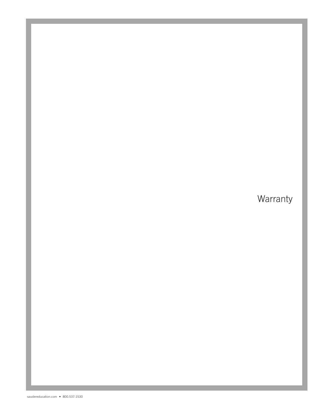# Warranty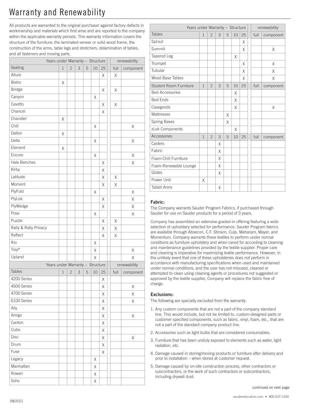# Warranty and Renewability

All products are warranted to the original purchaser against factory defects in workmanship and materials which first arise and are reported to the company within the applicable warranty periods. This warranty information covers the structure of the furniture: the laminated-veneer or solid wood frame, the construction of the arms, table legs and stretchers, delamination of tables, and all fasteners and moving parts.

|                       | Years under Warranty - Structure |                |   |   |    |    |  | renewability |           |
|-----------------------|----------------------------------|----------------|---|---|----|----|--|--------------|-----------|
| Seating               | $\mathbf 1$                      | $\overline{c}$ | 3 | 5 | 10 | 25 |  | full         | component |
| Allure                |                                  |                |   |   |    | X  |  | Χ            |           |
| <b>Bistro</b>         | Χ                                |                |   |   |    |    |  |              |           |
| <b>Bridge</b>         |                                  |                |   |   |    | Χ  |  | Χ            |           |
| Canyon                |                                  |                |   |   | Χ  |    |  |              |           |
| Cavetto               |                                  |                |   |   |    | X  |  | Χ            |           |
| Chancel               |                                  |                |   |   |    | X  |  |              |           |
| Chandler              | Χ                                |                |   |   |    |    |  |              |           |
| Chill                 |                                  |                |   |   | Χ  |    |  |              | X         |
| Dalton                | Χ                                |                |   |   |    |    |  |              |           |
| Delta                 |                                  |                |   |   | Χ  |    |  |              | X         |
| Element               | Χ                                |                |   |   |    |    |  |              |           |
| Encore                |                                  |                |   |   | X  |    |  |              | X         |
| Hale Benches          |                                  |                |   |   |    | X  |  |              | X         |
| Kirby                 |                                  |                |   |   |    | Χ  |  |              |           |
| Latitude              |                                  |                |   |   |    | X  |  | Χ            |           |
| Moment                |                                  |                |   |   |    | X  |  | Χ            |           |
| PlyFold               |                                  |                |   |   | Χ  |    |  |              | X         |
| PlyLok                |                                  |                |   |   |    | X  |  |              | X         |
| PlyWedge              |                                  |                |   |   |    | X  |  |              | Χ         |
| Pose                  |                                  |                |   |   | Χ  |    |  |              | X         |
| Puzzle                |                                  |                |   |   |    | X  |  | Χ            |           |
| Rally & Rally Privacy |                                  |                |   |   |    | Χ  |  | Χ            |           |
| Reflect               |                                  |                |   |   |    | Χ  |  | Χ            |           |
| Rio                   |                                  |                |   |   | Χ  |    |  |              |           |
| Trey®                 |                                  |                |   |   | Χ  |    |  |              | Χ         |
| Upland                |                                  |                |   |   | Χ  |    |  |              | X         |
|                       | Years under Warranty - Structure |                |   |   |    |    |  | renewability |           |
| <b>Tables</b>         | 1                                | $\mathbf{2}$   | 3 | 5 | 10 | 25 |  | full         | component |
| 4200 Series           |                                  |                |   |   |    | Χ  |  |              |           |
| 4500 Series           |                                  |                |   |   |    | Χ  |  |              | Χ         |
| 4700 Series           |                                  |                |   |   |    | Χ  |  |              | Χ         |
| 6100 Series           |                                  |                |   |   |    | Χ  |  |              | Χ         |
| Ally                  |                                  |                |   |   |    | Χ  |  |              |           |
| Amigo                 |                                  |                |   |   |    | Χ  |  |              | Χ         |
| Canton                |                                  |                |   |   |    | Χ  |  |              |           |
| Cube                  |                                  |                |   |   |    | X  |  |              |           |
| Disc                  |                                  |                |   |   |    | Χ  |  |              | Χ         |
| Drum                  |                                  |                |   |   |    | Χ  |  |              |           |
| Fuse                  |                                  |                |   |   |    | Χ  |  |              |           |
| Legacy                |                                  |                |   |   | Χ  |    |  |              |           |
| Manhattan             |                                  |                |   |   | Χ  |    |  |              |           |
| Rowan                 |                                  |                |   |   | Χ  |    |  |              |           |
| Soho                  |                                  |                |   |   | Χ  |    |  |              |           |

| Years under Warranty - Structure | renewability |                |   |   |    |    |      |           |
|----------------------------------|--------------|----------------|---|---|----|----|------|-----------|
| <b>Tables</b>                    | $\mathbf{1}$ | $\overline{2}$ | 3 | 5 | 10 | 25 | full | component |
| Sprout                           |              |                |   |   |    | X  |      |           |
| Summit                           |              |                |   |   |    | X  |      | X         |
| Tapered Leg                      |              |                |   |   | X  |    |      |           |
| Trumpet                          |              |                |   |   |    | X  |      | X         |
| Tubular                          |              |                |   |   |    | X  |      | X         |
| Wood Base Tables                 |              |                |   |   |    | X  |      | X         |
| Student Room Furniture           | $\mathbf{1}$ | $\overline{c}$ | 3 | 5 | 10 | 25 | full | component |
| <b>Bed Accessories</b>           |              |                |   |   | X  |    |      |           |
| <b>Bed Ends</b>                  |              |                |   |   | X  |    |      |           |
| Casegoods                        |              |                |   |   | X  |    |      | X         |
| <b>Mattresses</b>                |              |                |   | X |    |    |      |           |
| <b>Spring Bases</b>              |              |                |   | X |    |    |      |           |
| zLok Components                  |              |                |   |   | X  |    |      |           |
| Accessories                      | $\mathbf{1}$ | $\overline{c}$ | 3 | 5 | 10 | 25 | full | component |
| Casters                          |              |                | X |   |    |    |      |           |
| Fabric                           |              |                | X |   |    |    |      |           |
| Foam-Chill Furniture             |              |                | X |   |    |    |      |           |
| Foam-Renewable Lounge            |              |                | X |   |    |    |      |           |
| Glides                           |              |                | X |   |    |    |      |           |
| Power Unit                       | X            |                |   |   |    |    |      |           |
| <b>Tablet Arms</b>               |              |                | X |   |    |    |      |           |

## Fabric:

The Company warrants Sauder Program Fabrics, if purchased through Sauder for use on Sauder products for a period of 3 years.

Company has assembled an extensive graded-in offering featuring a wide selection of upholstery selected for performance. Sauder Program fabrics are available through Absecon, C.F. Stinson, Culp, Maharam, Mayer, and Momentum. Company warrants these textiles to perform under normal conditions as furniture upholstery and when cared for according to cleaning and maintenance guidelines provided by the textile supplier. Proper care and cleaning is imperative for maximizing textile performance. However, in the unlikely event that one of these upholsteries does not perform in accordance with manufacturing specifications when used and maintained under normal conditions, and the user has not misused, cleaned or attempted to clean using cleaning agents or procedures not suggested or approved by the textile supplier, Company will replace the fabric free of charge.

### Exclusions:

The following are specially excluded from the warranty:

- 1. Any custom components that are not a part of the company standard line. This would include, but not be limited to, custom-designed parts or customer specified components, such as fabric, vinyl, foam, etc., that are not a part of the standard company product line.
- 2. Accessories such as light bulbs that are considered consumables.
- 3. Furniture that has been unduly exposed to elements such as water, light radiation, etc.
- 4. Damage caused in storing/moving products or furniture after delivery and prior to installation – when stored at customer request.
- 5. Damage caused by on-site construction process, other contractors or subcontractors, or the work of such contractors or subcontractors, including drywall dust.